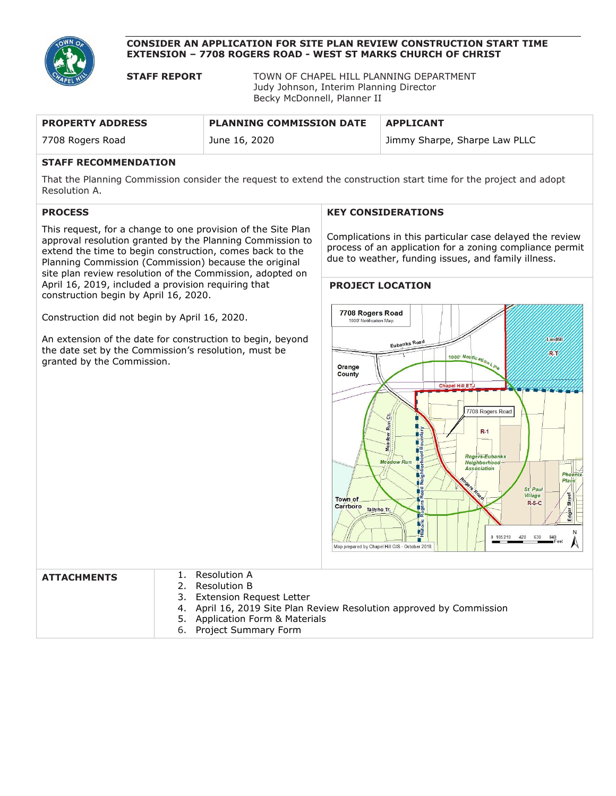

#### **CONSIDER AN APPLICATION FOR SITE PLAN REVIEW CONSTRUCTION START TIME EXTENSION – 7708 ROGERS ROAD - WEST ST MARKS CHURCH OF CHRIST**

**STAFF REPORT** TOWN OF CHAPEL HILL PLANNING DEPARTMENT Judy Johnson, Interim Planning Director Becky McDonnell, Planner II

| <b>PROPERTY ADDRESS</b>              | <b>PLANNING COMMISSION DATE</b> | <b>APPLICANT</b>              |
|--------------------------------------|---------------------------------|-------------------------------|
| 7708 Rogers Road                     | June 16, 2020                   | Jimmy Sharpe, Sharpe Law PLLC |
| -- - - - - - - - - - - - - - - - - - |                                 |                               |

### **STAFF RECOMMENDATION**

That the Planning Commission consider the request to extend the construction start time for the project and adopt Resolution A.

# **PROCESS**

This request, for a change to one provision of the Site Plan approval resolution granted by the Planning Commission to extend the time to begin construction, comes back to the Planning Commission (Commission) because the original site plan review resolution of the Commission, adopted on April 16, 2019, included a provision requiring that construction begin by April 16, 2020.

Construction did not begin by April 16, 2020.

An extension of the date for construction to begin, beyond the date set by the Commission's resolution, must be granted by the Commission.

#### **KEY CONSIDERATIONS**

Complications in this particular case delayed the review process of an application for a zoning compliance permit due to weather, funding issues, and family illness.

#### **PROJECT LOCATION**



| <b>ATTACHMENTS</b> | 1. Resolution A                                                      |
|--------------------|----------------------------------------------------------------------|
|                    | 2. Resolution B                                                      |
|                    | 3. Extension Request Letter                                          |
|                    | 4. April 16, 2019 Site Plan Review Resolution approved by Commission |
|                    | 5. Application Form & Materials                                      |
|                    | 6. Project Summary Form                                              |
|                    |                                                                      |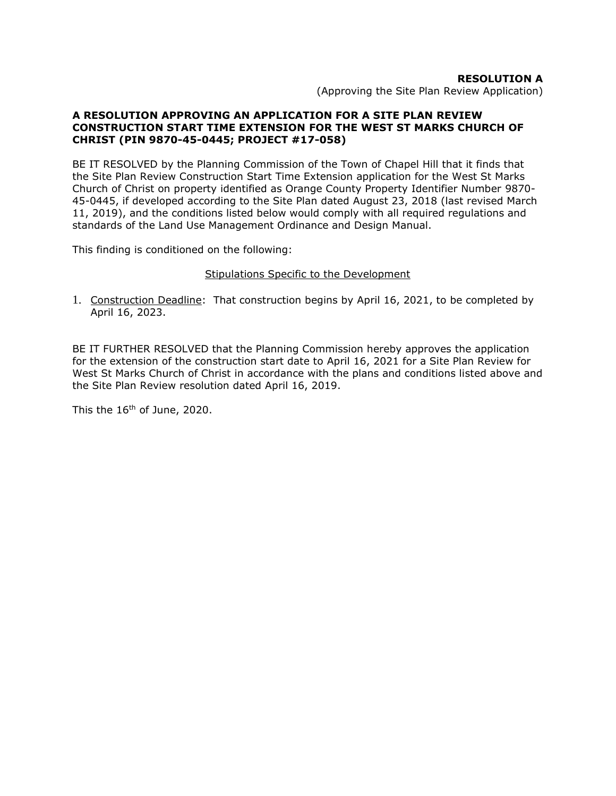### **RESOLUTION A**

(Approving the Site Plan Review Application)

### **A RESOLUTION APPROVING AN APPLICATION FOR A SITE PLAN REVIEW CONSTRUCTION START TIME EXTENSION FOR THE WEST ST MARKS CHURCH OF CHRIST (PIN 9870-45-0445; PROJECT #17-058)**

BE IT RESOLVED by the Planning Commission of the Town of Chapel Hill that it finds that the Site Plan Review Construction Start Time Extension application for the West St Marks Church of Christ on property identified as Orange County Property Identifier Number 9870- 45-0445, if developed according to the Site Plan dated August 23, 2018 (last revised March 11, 2019), and the conditions listed below would comply with all required regulations and standards of the Land Use Management Ordinance and Design Manual.

This finding is conditioned on the following:

### Stipulations Specific to the Development

1. Construction Deadline: That construction begins by April 16, 2021, to be completed by April 16, 2023.

BE IT FURTHER RESOLVED that the Planning Commission hereby approves the application for the extension of the construction start date to April 16, 2021 for a Site Plan Review for West St Marks Church of Christ in accordance with the plans and conditions listed above and the Site Plan Review resolution dated April 16, 2019.

This the 16<sup>th</sup> of June, 2020.